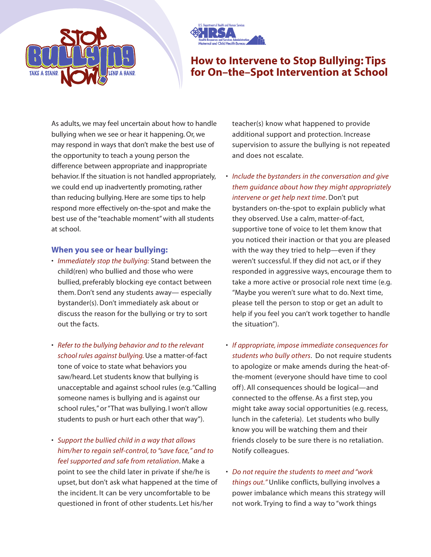



## **How to Intervene to Stop Bullying: Tips for On–the–Spot Intervention at School**

As adults, we may feel uncertain about how to handle bullying when we see or hear it happening. Or, we may respond in ways that don't make the best use of the opportunity to teach a young person the difference between appropriate and inappropriate behavior. If the situation is not handled appropriately, we could end up inadvertently promoting, rather than reducing bullying. Here are some tips to help respond more effectively on-the-spot and make the best use of the "teachable moment" with all students at school.

## **When you see or hear bullying:**

- *Immediately stop the bullying:* Stand between the child(ren) who bullied and those who were bullied, preferably blocking eye contact between them. Don't send any students away— especially bystander(s). Don't immediately ask about or discuss the reason for the bullying or try to sort out the facts.
- *Refer to the bullying behavior and to the relevant school rules against bullying.*Use a matter-of-fact tone of voice to state what behaviors you saw/heard. Let students know that bullying is unacceptable and against school rules (e.g."Calling someone names is bullying and is against our school rules," or "That was bullying. I won't allow students to push or hurt each other that way").
- *Support the bullied child in a way that allows him/her to regain self-control, to "save face," and to feel supported and safe from retaliation*. Make a point to see the child later in private if she/he is upset, but don't ask what happened at the time of the incident. It can be very uncomfortable to be questioned in front of other students. Let his/her

teacher(s) know what happened to provide additional support and protection. Increase supervision to assure the bullying is not repeated and does not escalate.

- *Include the bystanders in the conversation and give them guidance about how they might appropriately intervene or get help next time*. Don't put bystanders on-the-spot to explain publicly what they observed. Use a calm, matter-of-fact, supportive tone of voice to let them know that you noticed their inaction or that you are pleased with the way they tried to help—even if they weren't successful. If they did not act, or if they responded in aggressive ways, encourage them to take a more active or prosocial role next time (e.g. "Maybe you weren't sure what to do. Next time, please tell the person to stop or get an adult to help if you feel you can't work together to handle the situation").
- *If appropriate, impose immediate consequences for students who bully others*. Do not require students to apologize or make amends during the heat-ofthe-moment (everyone should have time to cool off ). All consequences should be logical—and connected to the offense. As a first step, you might take away social opportunities (e.g. recess, lunch in the cafeteria). Let students who bully know you will be watching them and their friends closely to be sure there is no retaliation. Notify colleagues.
- *Do not require the students to meet and "work things out."* Unlike conflicts, bullying involves a power imbalance which means this strategy will not work. Trying to find a way to "work things